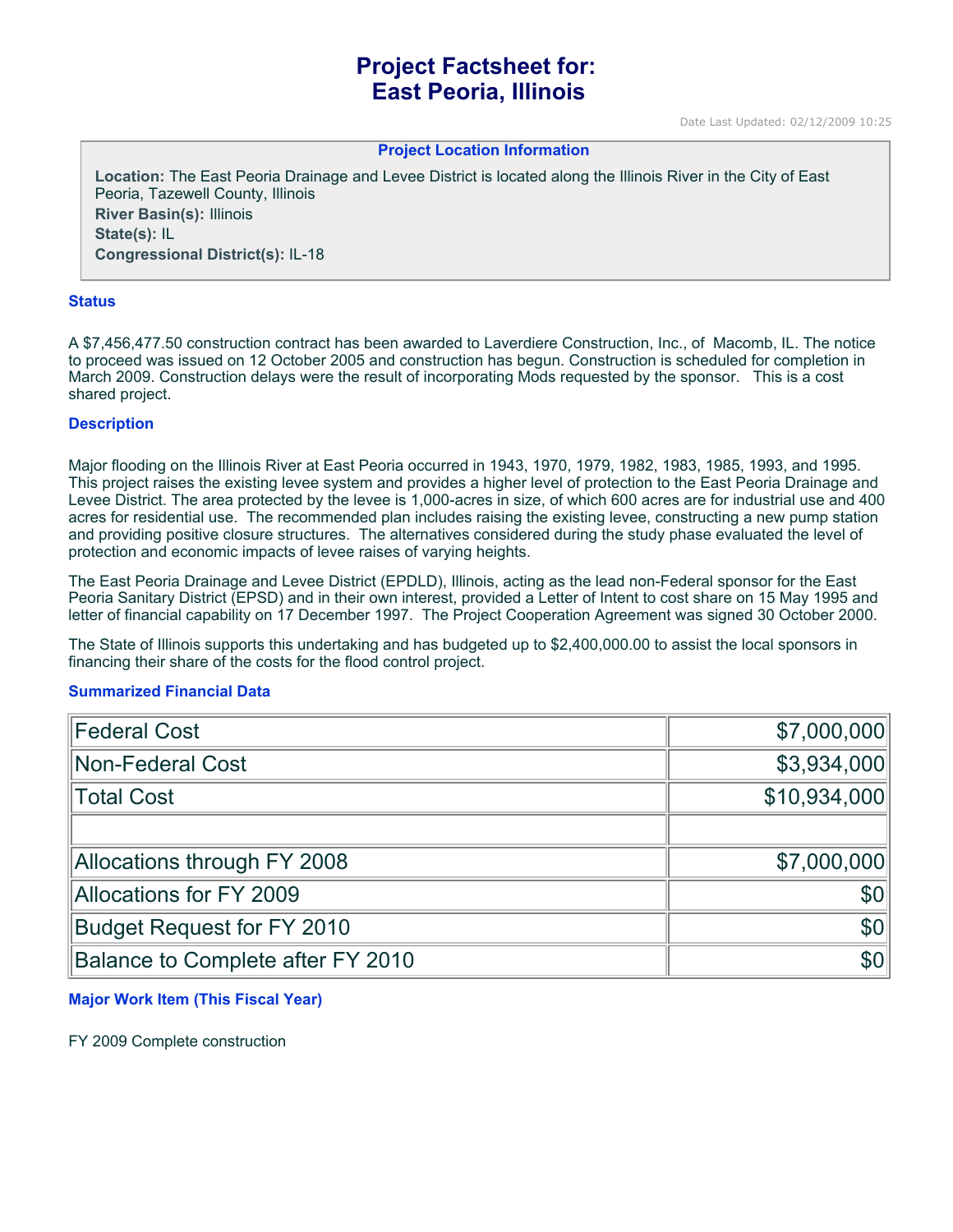# **Project Factsheet for: East Peoria, Illinois**

Date Last Updated: 02/12/2009 10:25

#### **Project Location Information**

**Location:** The East Peoria Drainage and Levee District is located along the Illinois River in the City of East Peoria, Tazewell County, Illinois **River Basin(s):** Illinois **State(s):** IL **Congressional District(s):** IL-18

#### **Status**

A \$7,456,477.50 construction contract has been awarded to Laverdiere Construction, Inc., of Macomb, IL. The notice to proceed was issued on 12 October 2005 and construction has begun. Construction is scheduled for completion in March 2009. Construction delays were the result of incorporating Mods requested by the sponsor. This is a cost shared project.

#### **Description**

Major flooding on the Illinois River at East Peoria occurred in 1943, 1970, 1979, 1982, 1983, 1985, 1993, and 1995. This project raises the existing levee system and provides a higher level of protection to the East Peoria Drainage and Levee District. The area protected by the levee is 1,000-acres in size, of which 600 acres are for industrial use and 400 acres for residential use. The recommended plan includes raising the existing levee, constructing a new pump station and providing positive closure structures. The alternatives considered during the study phase evaluated the level of protection and economic impacts of levee raises of varying heights.

The East Peoria Drainage and Levee District (EPDLD), Illinois, acting as the lead non-Federal sponsor for the East Peoria Sanitary District (EPSD) and in their own interest, provided a Letter of Intent to cost share on 15 May 1995 and letter of financial capability on 17 December 1997. The Project Cooperation Agreement was signed 30 October 2000.

The State of Illinois supports this undertaking and has budgeted up to \$2,400,000.00 to assist the local sponsors in financing their share of the costs for the flood control project.

#### **Summarized Financial Data**

| <b>Federal Cost</b>               | \$7,000,000  |
|-----------------------------------|--------------|
| Non-Federal Cost                  | \$3,934,000  |
| Total Cost                        | \$10,934,000 |
|                                   |              |
| Allocations through FY 2008       | \$7,000,000  |
| Allocations for FY 2009           | \$0          |
| <b>Budget Request for FY 2010</b> | \$0          |
| Balance to Complete after FY 2010 | \$0          |

#### **Major Work Item (This Fiscal Year)**

FY 2009 Complete construction